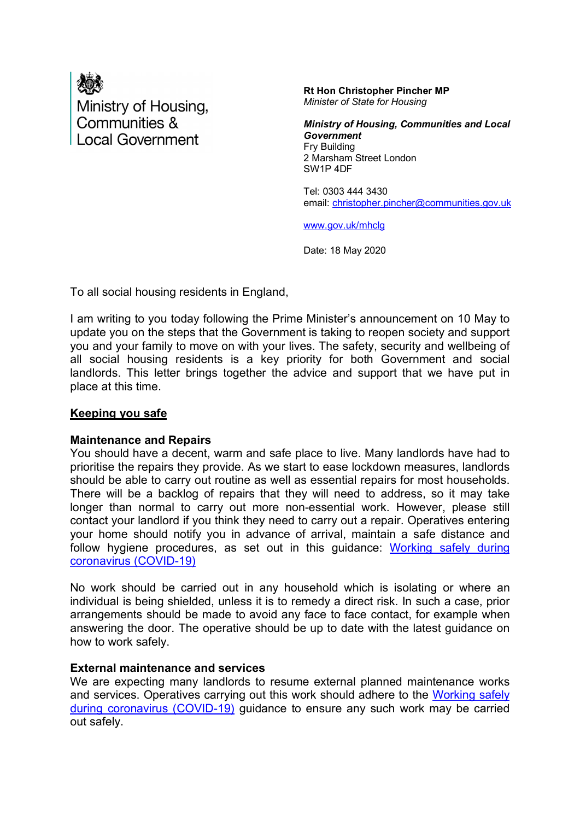

**Rt Hon Christopher Pincher MP** *Minister of State for Housing* 

*Ministry of Housing, Communities and Local Government*  Fry Building 2 Marsham Street London SW1P 4DF

Tel: 0303 444 3430 email: [christopher.pincher@communities.gov.uk](mailto:christopher.pincher@communities.gov.uk)

[www.gov.uk/mhclg](http://www.gov.uk/mhclg)

Date: 18 May 2020

To all social housing residents in England,

I am writing to you today following the Prime Minister's announcement on 10 May to update you on the steps that the Government is taking to reopen society and support you and your family to move on with your lives. The safety, security and wellbeing of all social housing residents is a key priority for both Government and social landlords. This letter brings together the advice and support that we have put in place at this time.

#### **Keeping you safe**

#### **Maintenance and Repairs**

You should have a decent, warm and safe place to live. Many landlords have had to prioritise the repairs they provide. As we start to ease lockdown measures, landlords should be able to carry out routine as well as essential repairs for most households. There will be a backlog of repairs that they will need to address, so it may take longer than normal to carry out more non-essential work. However, please still contact your landlord if you think they need to carry out a repair. Operatives entering your home should notify you in advance of arrival, maintain a safe distance and follow hygiene procedures, as set out in this guidance: [Working safely during](https://www.gov.uk/guidance/working-safely-during-coronavirus-covid-19/homes#homes-3-3)  [coronavirus \(COVID-19\)](https://www.gov.uk/guidance/working-safely-during-coronavirus-covid-19/homes#homes-3-3) 

No work should be carried out in any household which is isolating or where an individual is being shielded, unless it is to remedy a direct risk. In such a case, prior arrangements should be made to avoid any face to face contact, for example when answering the door. The operative should be up to date with the latest guidance on how to work safely.

#### **External maintenance and services**

We are expecting many landlords to resume external planned maintenance works and services. Operatives carrying out this work should adhere to the [Working safely](https://www.gov.uk/guidance/working-safely-during-coronavirus-covid-19/homes#homes-3-3)  [during coronavirus \(COVID-19\)](https://www.gov.uk/guidance/working-safely-during-coronavirus-covid-19/homes#homes-3-3) guidance to ensure any such work may be carried out safely.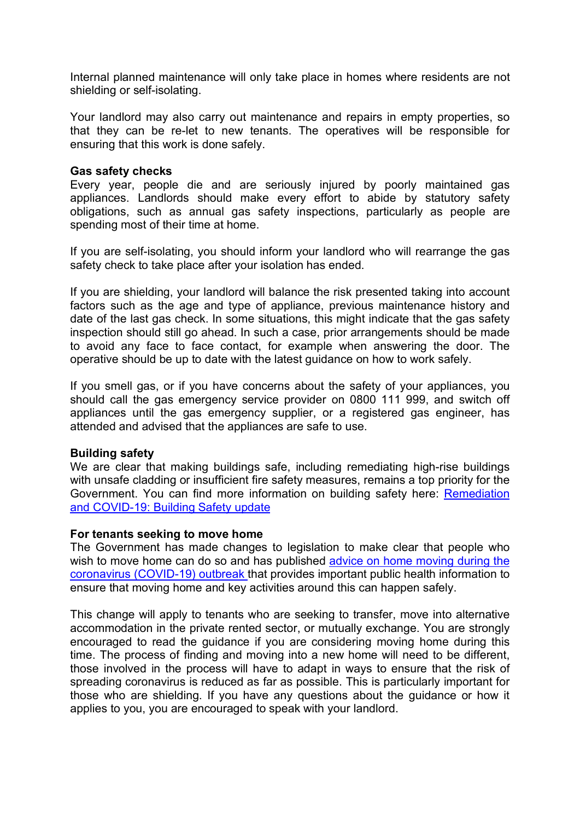Internal planned maintenance will only take place in homes where residents are not shielding or self-isolating.

Your landlord may also carry out maintenance and repairs in empty properties, so that they can be re-let to new tenants. The operatives will be responsible for ensuring that this work is done safely.

#### **Gas safety checks**

Every year, people die and are seriously injured by poorly maintained gas appliances. Landlords should make every effort to abide by statutory safety obligations, such as annual gas safety inspections, particularly as people are spending most of their time at home.

If you are self-isolating, you should inform your landlord who will rearrange the gas safety check to take place after your isolation has ended.

If you are shielding, your landlord will balance the risk presented taking into account factors such as the age and type of appliance, previous maintenance history and date of the last gas check. In some situations, this might indicate that the gas safety inspection should still go ahead. In such a case, prior arrangements should be made to avoid any face to face contact, for example when answering the door. The operative should be up to date with the latest guidance on how to work safely.

If you smell gas, or if you have concerns about the safety of your appliances, you should call the gas emergency service provider on 0800 111 999, and switch off appliances until the gas emergency supplier, or a registered gas engineer, has attended and advised that the appliances are safe to use.

#### **Building safety**

We are clear that making buildings safe, including remediating high-rise buildings with unsafe cladding or insufficient fire safety measures, remains a top priority for the Government. You can find more information on building safety here: [Remediation](https://www.gov.uk/guidance/remediation-and-covid-19-building-safety-update-27-march-2020)  [and COVID-19: Building Safety update](https://www.gov.uk/guidance/remediation-and-covid-19-building-safety-update-27-march-2020)

#### **For tenants seeking to move home**

The Government has made changes to legislation to make clear that people who wish to move home can do so and has published advice on home moving during the [coronavirus \(COVID-19\) outbreak](https://www.gov.uk/guidance/government-advice-on-home-moving-during-the-coronavirus-covid-19-outbreak) that provides important public health information to ensure that moving home and key activities around this can happen safely.

This change will apply to tenants who are seeking to transfer, move into alternative accommodation in the private rented sector, or mutually exchange. You are strongly encouraged to read the guidance if you are considering moving home during this time. The process of finding and moving into a new home will need to be different, those involved in the process will have to adapt in ways to ensure that the risk of spreading coronavirus is reduced as far as possible. This is particularly important for those who are shielding. If you have any questions about the guidance or how it applies to you, you are encouraged to speak with your landlord.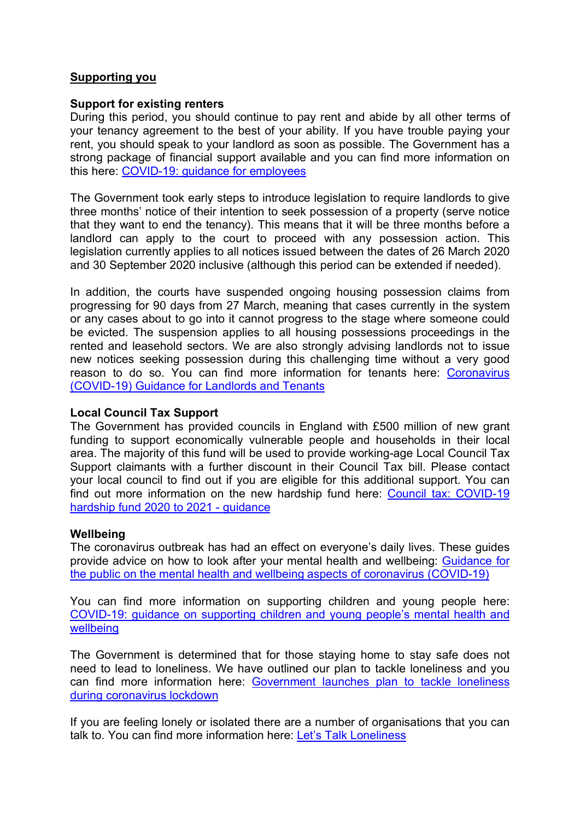# **Supporting you**

#### **Support for existing renters**

During this period, you should continue to pay rent and abide by all other terms of your tenancy agreement to the best of your ability. If you have trouble paying your rent, you should speak to your landlord as soon as possible. The Government has a strong package of financial support available and you can find more information on this here: [COVID-19: guidance for employees](https://www.gov.uk/government/publications/guidance-to-employers-and-businesses-about-covid-19/covid-19-guidance-for-employees) 

The Government took early steps to introduce legislation to require landlords to give three months' notice of their intention to seek possession of a property (serve notice that they want to end the tenancy). This means that it will be three months before a landlord can apply to the court to proceed with any possession action. This legislation currently applies to all notices issued between the dates of 26 March 2020 and 30 September 2020 inclusive (although this period can be extended if needed).

In addition, the courts have suspended ongoing housing possession claims from progressing for 90 days from 27 March, meaning that cases currently in the system or any cases about to go into it cannot progress to the stage where someone could be evicted. The suspension applies to all housing possessions proceedings in the rented and leasehold sectors. We are also strongly advising landlords not to issue new notices seeking possession during this challenging time without a very good reason to do so. You can find more information for tenants here: [Coronavirus](https://www.gov.uk/government/publications/covid-19-and-renting-guidance-for-landlords-tenants-and-local-authorities)  [\(COVID-19\) Guidance for Landlords and Tenants](https://www.gov.uk/government/publications/covid-19-and-renting-guidance-for-landlords-tenants-and-local-authorities)

# **Local Council Tax Support**

The Government has provided councils in England with £500 million of new grant funding to support economically vulnerable people and households in their local area. The majority of this fund will be used to provide working-age Local Council Tax Support claimants with a further discount in their Council Tax bill. Please contact your local council to find out if you are eligible for this additional support. You can find out more information on the new hardship fund here: [Council tax: COVID-19](https://www.gov.uk/government/publications/council-tax-covid-19-hardship-fund-2020-to-2021-guidance)  [hardship fund 2020 to 2021 -](https://www.gov.uk/government/publications/council-tax-covid-19-hardship-fund-2020-to-2021-guidance) guidance

#### **Wellbeing**

The coronavirus outbreak has had an effect on everyone's daily lives. These guides provide advice on how to look after your mental health and wellbeing: [Guidance for](https://www.gov.uk/government/publications/covid-19-guidance-for-the-public-on-mental-health-and-wellbeing/guidance-for-the-public-on-the-mental-health-and-wellbeing-aspects-of-coronavirus-covid-19)  [the public on the mental health and wellbeing aspects of coronavirus \(COVID-19\)](https://www.gov.uk/government/publications/covid-19-guidance-for-the-public-on-mental-health-and-wellbeing/guidance-for-the-public-on-the-mental-health-and-wellbeing-aspects-of-coronavirus-covid-19)

You can find more information on supporting children and young people here: [COVID-19: guidance on supporting children and young people's mental health and](https://www.gov.uk/government/publications/covid-19-guidance-on-supporting-children-and-young-peoples-mental-health-and-wellbeing)  [wellbeing](https://www.gov.uk/government/publications/covid-19-guidance-on-supporting-children-and-young-peoples-mental-health-and-wellbeing)

The Government is determined that for those staying home to stay safe does not need to lead to loneliness. We have outlined our plan to tackle loneliness and you can find more information here: [Government launches plan to tackle loneliness](https://www.gov.uk/government/news/government-launches-plan-to-tackle-loneliness-during-coronavirus-lockdown)  [during coronavirus lockdown](https://www.gov.uk/government/news/government-launches-plan-to-tackle-loneliness-during-coronavirus-lockdown)

If you are feeling lonely or isolated there are a number of organisations that you can talk to. You can find more information here: [Let's Talk Loneliness](https://letstalkloneliness.co.uk/advice/)